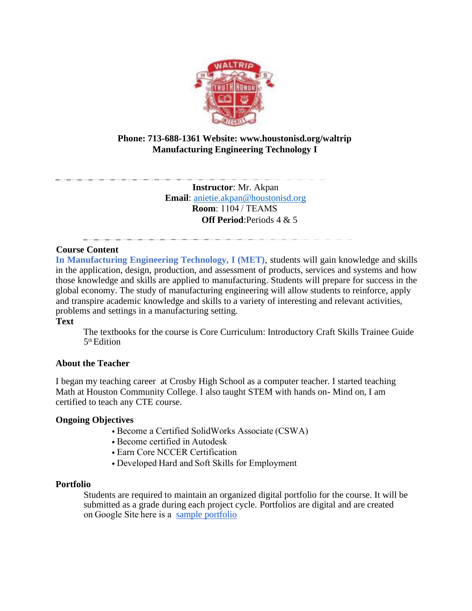

# **Phone: 713-688-1361 Website: www.houstonisd.org/waltrip Manufacturing Engineering Technology I**

**Instructor**: Mr. Akpan **Email**: anietie.akpan@houstonisd.org **Room**: 1104 / TEAMS  **Off Period**:Periods 4 & 5

## **Course Content**

**In Manufacturing Engineering Technology, I (MET)**, students will gain knowledge and skills in the application, design, production, and assessment of products, services and systems and how those knowledge and skills are applied to manufacturing. Students will prepare for success in the global economy. The study of manufacturing engineering will allow students to reinforce, apply and transpire academic knowledge and skills to a variety of interesting and relevant activities, problems and settings in a manufacturing setting.

### **Text**

The textbooks for the course is Core Curriculum: Introductory Craft Skills Trainee Guide 5 th Edition

### **About the Teacher**

I began my teaching career at Crosby High School as a computer teacher. I started teaching Math at Houston Community College. I also taught STEM with hands on- Mind on, I am certified to teach any CTE course.

### **Ongoing Objectives**

- Become a Certified SolidWorks Associate (CSWA)
- Become certified in Autodesk
- Earn Core NCCER Certification
- Developed Hard and Soft Skills for Employment

#### **Portfolio**

Students are required to maintain an organized digital portfolio for the course. It will be submitted as a grade during each project cycle. Portfolios are digital and are created on Google Site here is a [sample portfolio](https://sites.google.com/online.houstonisd.org/gissel-sanchez/home?authuser=0&pli=1)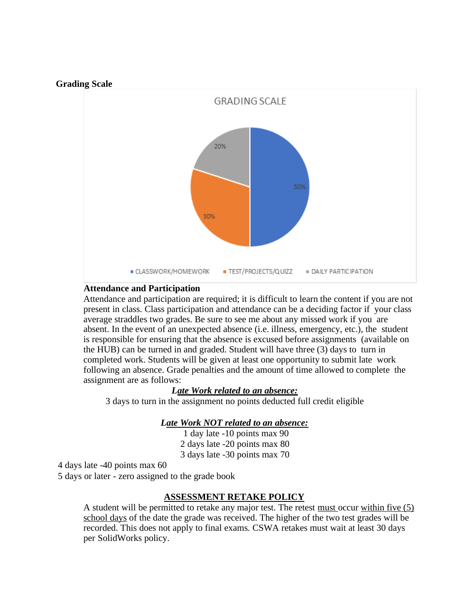



### **Attendance and Participation**

Attendance and participation are required; it is difficult to learn the content if you are not present in class. Class participation and attendance can be a deciding factor if your class average straddles two grades. Be sure to see me about any missed work if you are absent. In the event of an unexpected absence (i.e. illness, emergency, etc.), the student is responsible for ensuring that the absence is excused before assignments (available on the HUB) can be turned in and graded. Student will have three (3) days to turn in completed work. Students will be given at least one opportunity to submit late work following an absence. Grade penalties and the amount of time allowed to complete the assignment are as follows:

### *Late Work related to an absence:*

3 days to turn in the assignment no points deducted full credit eligible

### *Late Work NOT related to an absence:*

1 day late -10 points max 90 2 days late -20 points max 80 3 days late -30 points max 70

4 days late -40 points max 60

5 days or later - zero assigned to the grade book

#### **ASSESSMENT RETAKE POLICY**

A student will be permitted to retake any major test. The retest must occur within five (5) school days of the date the grade was received. The higher of the two test grades will be recorded. This does not apply to final exams. CSWA retakes must wait at least 30 days per SolidWorks policy.